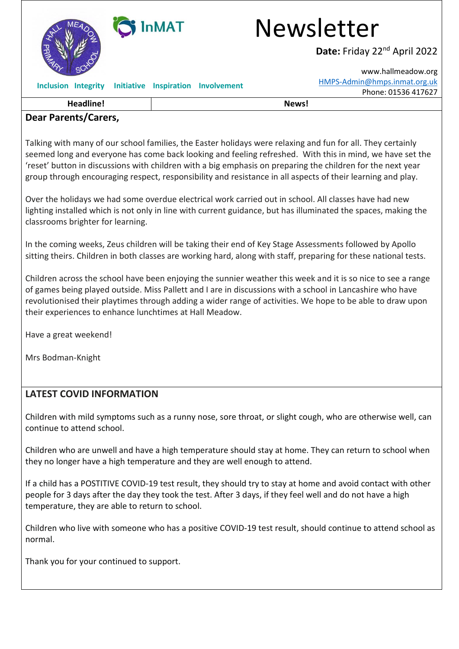

### **Dear Parents/Carers,**

Talking with many of our school families, the Easter holidays were relaxing and fun for all. They certainly seemed long and everyone has come back looking and feeling refreshed. With this in mind, we have set the 'reset' button in discussions with children with a big emphasis on preparing the children for the next year group through encouraging respect, responsibility and resistance in all aspects of their learning and play.

Over the holidays we had some overdue electrical work carried out in school. All classes have had new lighting installed which is not only in line with current guidance, but has illuminated the spaces, making the classrooms brighter for learning.

In the coming weeks, Zeus children will be taking their end of Key Stage Assessments followed by Apollo sitting theirs. Children in both classes are working hard, along with staff, preparing for these national tests.

Children across the school have been enjoying the sunnier weather this week and it is so nice to see a range of games being played outside. Miss Pallett and I are in discussions with a school in Lancashire who have revolutionised their playtimes through adding a wider range of activities. We hope to be able to draw upon their experiences to enhance lunchtimes at Hall Meadow.

Have a great weekend!

Mrs Bodman-Knight

#### **LATEST COVID INFORMATION**

Children with mild symptoms such as a runny nose, sore throat, or slight cough, who are otherwise well, can continue to attend school.

Children who are unwell and have a high temperature should stay at home. They can return to school when they no longer have a high temperature and they are well enough to attend.

If a child has a POSTITIVE COVID-19 test result, they should try to stay at home and avoid contact with other people for 3 days after the day they took the test. After 3 days, if they feel well and do not have a high temperature, they are able to return to school.

Children who live with someone who has a positive COVID-19 test result, should continue to attend school as normal.

Thank you for your continued to support.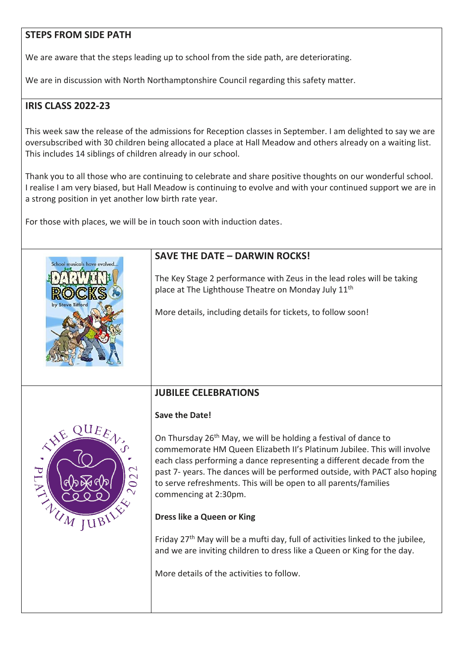## **STEPS FROM SIDE PATH**

We are aware that the steps leading up to school from the side path, are deteriorating.

We are in discussion with North Northamptonshire Council regarding this safety matter.

# **IRIS CLASS 2022-23**

This week saw the release of the admissions for Reception classes in September. I am delighted to say we are oversubscribed with 30 children being allocated a place at Hall Meadow and others already on a waiting list. This includes 14 siblings of children already in our school.

Thank you to all those who are continuing to celebrate and share positive thoughts on our wonderful school. I realise I am very biased, but Hall Meadow is continuing to evolve and with your continued support we are in a strong position in yet another low birth rate year.

For those with places, we will be in touch soon with induction dates.

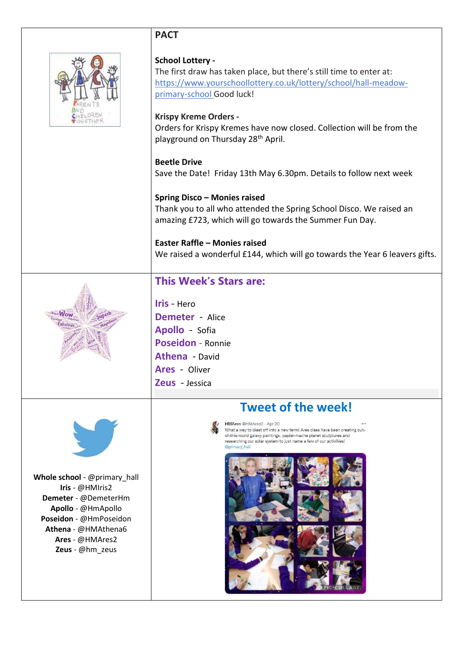## **PACT**